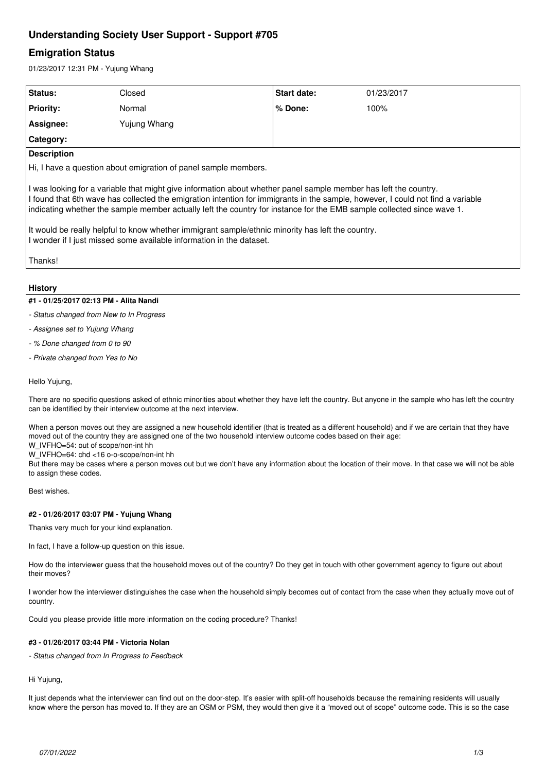# **Understanding Society User Support - Support #705**

# **Emigration Status**

01/23/2017 12:31 PM - Yujung Whang

| Status:            | Closed                                                               | Start date:                                                                                                                                                                                                                                                                                                                                     | 01/23/2017                                                                                                                      |  |
|--------------------|----------------------------------------------------------------------|-------------------------------------------------------------------------------------------------------------------------------------------------------------------------------------------------------------------------------------------------------------------------------------------------------------------------------------------------|---------------------------------------------------------------------------------------------------------------------------------|--|
| <b>Priority:</b>   | Normal                                                               | $%$ Done:                                                                                                                                                                                                                                                                                                                                       | 100%                                                                                                                            |  |
| Assignee:          | Yujung Whang                                                         |                                                                                                                                                                                                                                                                                                                                                 |                                                                                                                                 |  |
| Category:          |                                                                      |                                                                                                                                                                                                                                                                                                                                                 |                                                                                                                                 |  |
| <b>Description</b> |                                                                      |                                                                                                                                                                                                                                                                                                                                                 |                                                                                                                                 |  |
|                    | Hi, I have a question about emigration of panel sample members.      |                                                                                                                                                                                                                                                                                                                                                 |                                                                                                                                 |  |
| Thanks!            | I wonder if I just missed some available information in the dataset. | I was looking for a variable that might give information about whether panel sample member has left the country.<br>indicating whether the sample member actually left the country for instance for the EMB sample collected since wave 1.<br>It would be really helpful to know whether immigrant sample/ethnic minority has left the country. | I found that 6th wave has collected the emigration intention for immigrants in the sample, however, I could not find a variable |  |

## **History**

## **#1 - 01/25/2017 02:13 PM - Alita Nandi**

*- Status changed from New to In Progress*

*- Assignee set to Yujung Whang*

*- % Done changed from 0 to 90*

*- Private changed from Yes to No*

Hello Yujung,

There are no specific questions asked of ethnic minorities about whether they have left the country. But anyone in the sample who has left the country can be identified by their interview outcome at the next interview.

When a person moves out they are assigned a new household identifier (that is treated as a different household) and if we are certain that they have moved out of the country they are assigned one of the two household interview outcome codes based on their age:

W\_IVFHO=54: out of scope/non-int hh

W\_IVFHO=64: chd <16 o-o-scope/non-int hh

But there may be cases where a person moves out but we don't have any information about the location of their move. In that case we will not be able to assign these codes.

Best wishes.

# **#2 - 01/26/2017 03:07 PM - Yujung Whang**

Thanks very much for your kind explanation.

In fact, I have a follow-up question on this issue.

How do the interviewer guess that the household moves out of the country? Do they get in touch with other government agency to figure out about their moves?

I wonder how the interviewer distinguishes the case when the household simply becomes out of contact from the case when they actually move out of country.

Could you please provide little more information on the coding procedure? Thanks!

# **#3 - 01/26/2017 03:44 PM - Victoria Nolan**

*- Status changed from In Progress to Feedback*

Hi Yujung,

It just depends what the interviewer can find out on the door-step. It's easier with split-off households because the remaining residents will usually know where the person has moved to. If they are an OSM or PSM, they would then give it a "moved out of scope" outcome code. This is so the case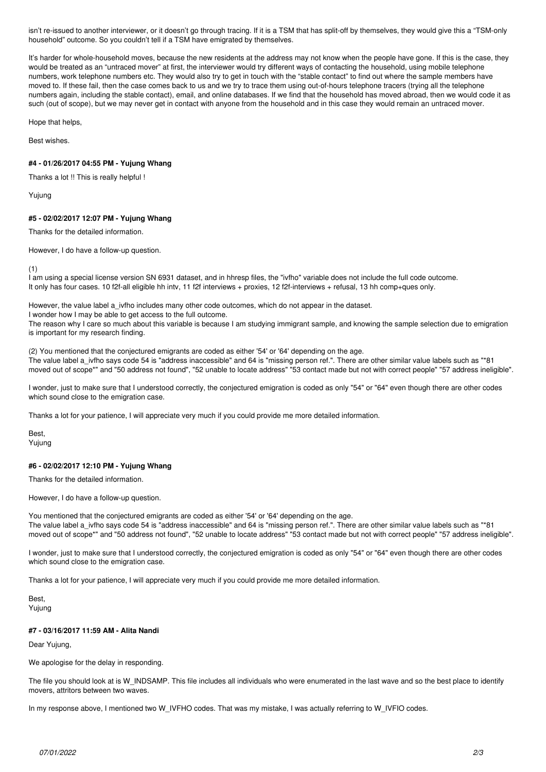isn't re-issued to another interviewer, or it doesn't go through tracing. If it is a TSM that has split-off by themselves, they would give this a "TSM-only household" outcome. So you couldn't tell if a TSM have emigrated by themselves.

It's harder for whole-household moves, because the new residents at the address may not know when the people have gone. If this is the case, they would be treated as an "untraced mover" at first, the interviewer would try different ways of contacting the household, using mobile telephone numbers, work telephone numbers etc. They would also try to get in touch with the "stable contact" to find out where the sample members have moved to. If these fail, then the case comes back to us and we try to trace them using out-of-hours telephone tracers (trying all the telephone numbers again, including the stable contact), email, and online databases. If we find that the household has moved abroad, then we would code it as such (out of scope), but we may never get in contact with anyone from the household and in this case they would remain an untraced mover.

Hope that helps,

Best wishes.

#### **#4 - 01/26/2017 04:55 PM - Yujung Whang**

Thanks a lot !! This is really helpful !

Yujung

### **#5 - 02/02/2017 12:07 PM - Yujung Whang**

Thanks for the detailed information.

However, I do have a follow-up question.

(1)

I am using a special license version SN 6931 dataset, and in hhresp files, the "ivfho" variable does not include the full code outcome. It only has four cases. 10 f2f-all eligible hh intv, 11 f2f interviews + proxies, 12 f2f-interviews + refusal, 13 hh comp+ques only.

However, the value label a\_ivfho includes many other code outcomes, which do not appear in the dataset.

I wonder how I may be able to get access to the full outcome.

The reason why I care so much about this variable is because I am studying immigrant sample, and knowing the sample selection due to emigration is important for my research finding.

(2) You mentioned that the conjectured emigrants are coded as either '54' or '64' depending on the age. The value label a ivfho says code 54 is "address inaccessible" and 64 is "missing person ref.". There are other similar value labels such as "\*81 moved out of scope\*" and "50 address not found", "52 unable to locate address" "53 contact made but not with correct people" "57 address ineligible".

I wonder, just to make sure that I understood correctly, the conjectured emigration is coded as only "54" or "64" even though there are other codes which sound close to the emigration case.

Thanks a lot for your patience, I will appreciate very much if you could provide me more detailed information.

Best, Yujung

#### **#6 - 02/02/2017 12:10 PM - Yujung Whang**

Thanks for the detailed information.

However, I do have a follow-up question.

You mentioned that the conjectured emigrants are coded as either '54' or '64' depending on the age. The value label a\_ivfho says code 54 is "address inaccessible" and 64 is "missing person ref.". There are other similar value labels such as "\*81 moved out of scope\*" and "50 address not found", "52 unable to locate address" "53 contact made but not with correct people" "57 address ineligible".

I wonder, just to make sure that I understood correctly, the conjectured emigration is coded as only "54" or "64" even though there are other codes which sound close to the emigration case.

Thanks a lot for your patience, I will appreciate very much if you could provide me more detailed information.

Best, Yujung

#### **#7 - 03/16/2017 11:59 AM - Alita Nandi**

Dear Yujung,

We apologise for the delay in responding.

The file you should look at is W\_INDSAMP. This file includes all individuals who were enumerated in the last wave and so the best place to identify movers, attritors between two waves.

In my response above, I mentioned two W\_IVFHO codes. That was my mistake, I was actually referring to W\_IVFIO codes.